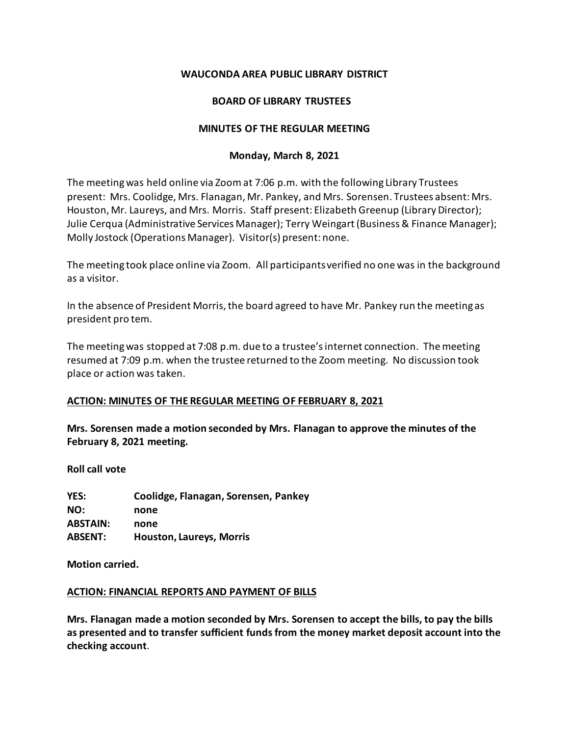# **WAUCONDA AREA PUBLIC LIBRARY DISTRICT**

# **BOARD OF LIBRARY TRUSTEES**

### **MINUTES OF THE REGULAR MEETING**

### **Monday, March 8, 2021**

The meeting was held online via Zoomat 7:06 p.m. with the following Library Trustees present: Mrs. Coolidge, Mrs. Flanagan, Mr. Pankey, and Mrs. Sorensen. Trustees absent: Mrs. Houston, Mr. Laureys, and Mrs. Morris. Staff present: Elizabeth Greenup (Library Director); Julie Cerqua (Administrative Services Manager); Terry Weingart (Business & Finance Manager); Molly Jostock (Operations Manager). Visitor(s) present: none.

The meeting took place online via Zoom. All participants verified no one was in the background as a visitor.

In the absence of President Morris, the board agreed to have Mr. Pankey run the meeting as president pro tem.

The meeting was stopped at 7:08 p.m. due to a trustee's internet connection. The meeting resumed at 7:09 p.m. when the trustee returned to the Zoom meeting. No discussion took place or action was taken.

# **ACTION: MINUTES OF THE REGULAR MEETING OF FEBRUARY 8, 2021**

**Mrs. Sorensen made a motion seconded by Mrs. Flanagan to approve the minutes of the February 8, 2021 meeting.** 

**Roll call vote**

**YES: Coolidge, Flanagan, Sorensen, Pankey NO: none ABSTAIN: none ABSENT: Houston, Laureys, Morris**

**Motion carried.**

### **ACTION: FINANCIAL REPORTS AND PAYMENT OF BILLS**

**Mrs. Flanagan made a motion seconded by Mrs. Sorensen to accept the bills, to pay the bills as presented and to transfer sufficient funds from the money market deposit account into the checking account**.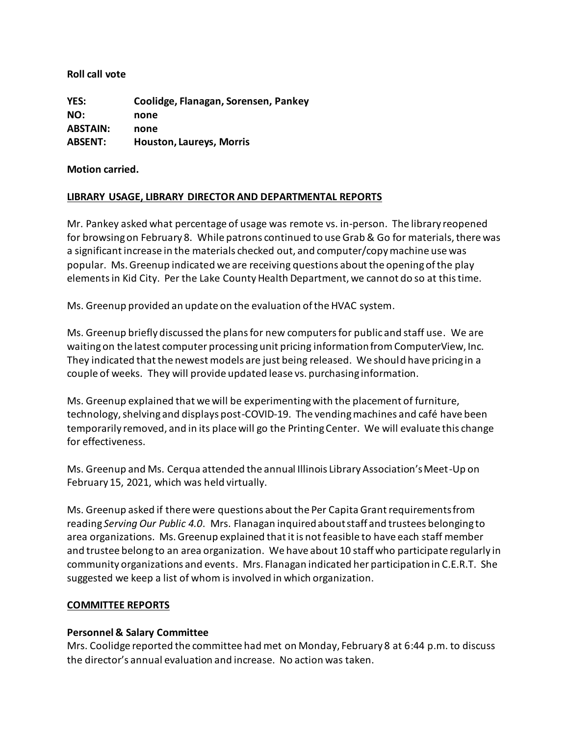**Roll call vote** 

**YES: Coolidge, Flanagan, Sorensen, Pankey NO: none ABSTAIN: none ABSENT: Houston, Laureys, Morris**

**Motion carried.**

# **LIBRARY USAGE, LIBRARY DIRECTOR AND DEPARTMENTAL REPORTS**

Mr. Pankey asked what percentage of usage was remote vs. in-person. The library reopened for browsing on February 8. While patrons continued to use Grab & Go for materials, there was a significant increase in the materials checked out, and computer/copy machine use was popular. Ms. Greenup indicated we are receiving questions about the opening of the play elements in Kid City. Per the Lake County Health Department, we cannot do so at this time.

Ms. Greenup provided an update on the evaluation of the HVAC system.

Ms. Greenup briefly discussed the plans for new computers for public and staff use. We are waiting on the latest computer processing unit pricing information from ComputerView, Inc. They indicated that the newest models are just being released. We should have pricing in a couple of weeks. They will provide updated lease vs. purchasing information.

Ms. Greenup explained that we will be experimenting with the placement of furniture, technology, shelving and displays post-COVID-19. The vending machines and café have been temporarily removed, and in its place will go the Printing Center. We will evaluate this change for effectiveness.

Ms. Greenup and Ms. Cerqua attended the annual Illinois Library Association's Meet-Up on February 15, 2021, which was held virtually.

Ms. Greenup asked if there were questions about the Per Capita Grant requirements from reading *Serving Our Public 4.0*. Mrs. Flanagan inquired about staff and trustees belonging to area organizations. Ms. Greenup explained that it is not feasible to have each staff member and trustee belong to an area organization. We have about 10 staff who participate regularly in community organizations and events. Mrs. Flanagan indicated her participation in C.E.R.T. She suggested we keep a list of whom is involved in which organization.

# **COMMITTEE REPORTS**

# **Personnel & Salary Committee**

Mrs. Coolidge reported the committee had met on Monday, February 8 at 6:44 p.m. to discuss the director's annual evaluation and increase. No action was taken.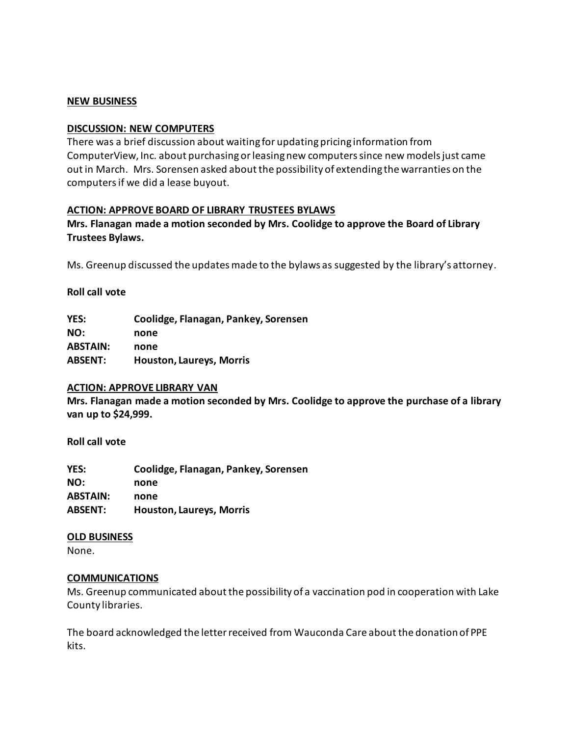### **NEW BUSINESS**

#### **DISCUSSION: NEW COMPUTERS**

There was a brief discussion about waiting for updating pricing information from ComputerView, Inc. about purchasing or leasing new computers since new models just came out in March. Mrs. Sorensen asked about the possibility of extending the warranties on the computers if we did a lease buyout.

### **ACTION: APPROVE BOARD OF LIBRARY TRUSTEES BYLAWS**

# **Mrs. Flanagan made a motion seconded by Mrs. Coolidge to approve the Board of Library Trustees Bylaws.**

Ms. Greenup discussed the updates made to the bylaws as suggested by the library's attorney.

### **Roll call vote**

| YES:            | Coolidge, Flanagan, Pankey, Sorensen |
|-----------------|--------------------------------------|
| NO:             | none                                 |
| <b>ABSTAIN:</b> | none                                 |
| <b>ABSENT:</b>  | <b>Houston, Laureys, Morris</b>      |

#### **ACTION: APPROVE LIBRARY VAN**

**Mrs. Flanagan made a motion seconded by Mrs. Coolidge to approve the purchase of a library van up to \$24,999.**

**Roll call vote** 

**YES: Coolidge, Flanagan, Pankey, Sorensen NO: none ABSTAIN: none ABSENT: Houston, Laureys, Morris**

### **OLD BUSINESS**

None.

### **COMMUNICATIONS**

Ms. Greenup communicated about the possibility of a vaccination pod in cooperation with Lake County libraries.

The board acknowledged the letter received from Wauconda Care about the donation of PPE kits.